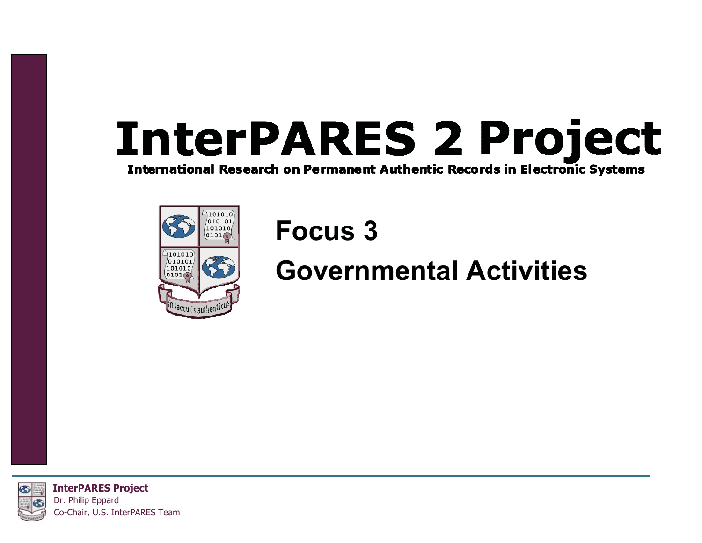# **InterPARES 2 Project**

**International Research on Permanent Authentic Records in Electronic Systems** 



#### **Focus 3**

#### **Governmental Activities**



**InterPARES Project** Dr. Philip Eppard Co-Chair, U.S. InterPARES Team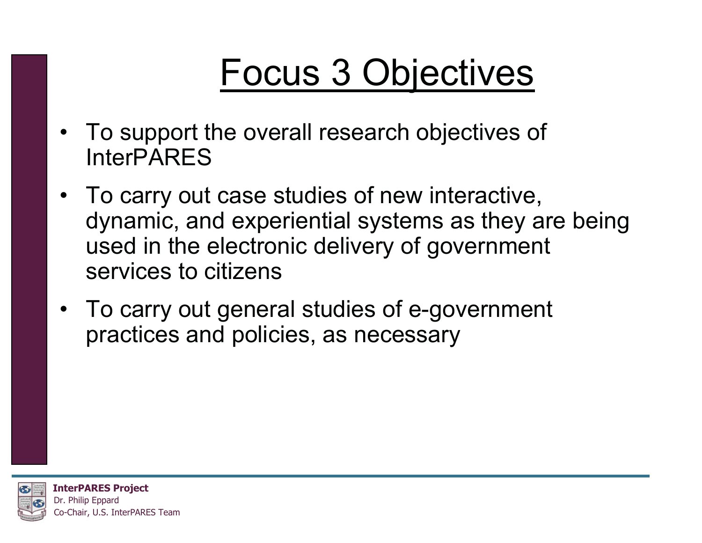#### Focus 3 Objectives

- To support the overall research objectives of InterPARES
- To carry out case studies of new interactive, dynamic, and experiential systems as they are being used in the electronic delivery of government services to citizens
- To carry out general studies of e-government practices and policies, as necessary

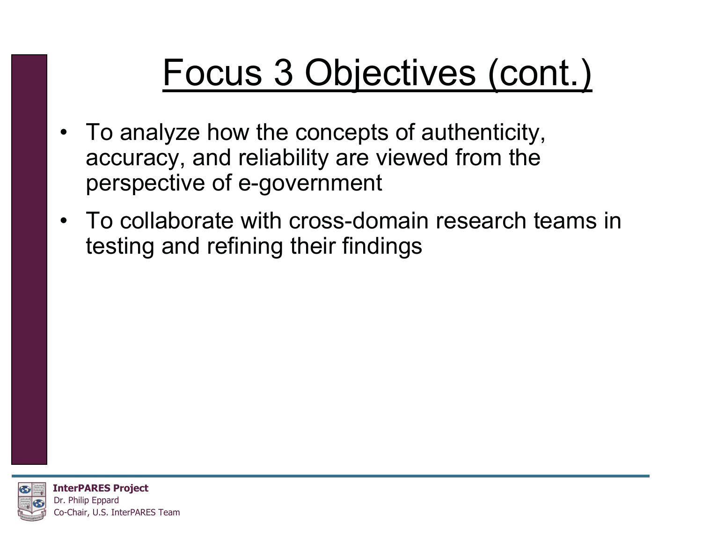#### Focus 3 Objectives (cont.)

- To analyze how the concepts of authenticity, accuracy, and reliability are viewed from the perspective of e-government
- To collaborate with cross-domain research teams in testing and refining their findings



**InterPARES Project** Dr. Philip Eppard o-Chair, U.S. InterPARES Team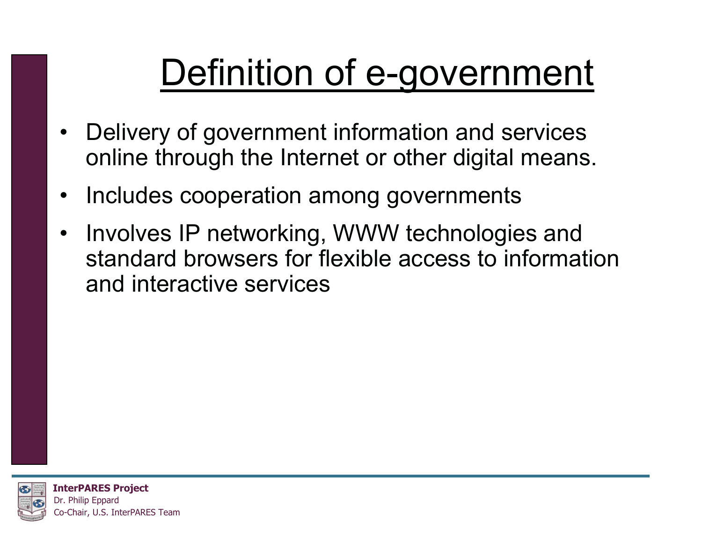### Definition of e-government

- Delivery of government information and services online through the Internet or other digital means.
- $\bullet$ Includes cooperation among governments
- Involves IP networking, WWW technologies and standard browsers for flexible access to information and interactive services

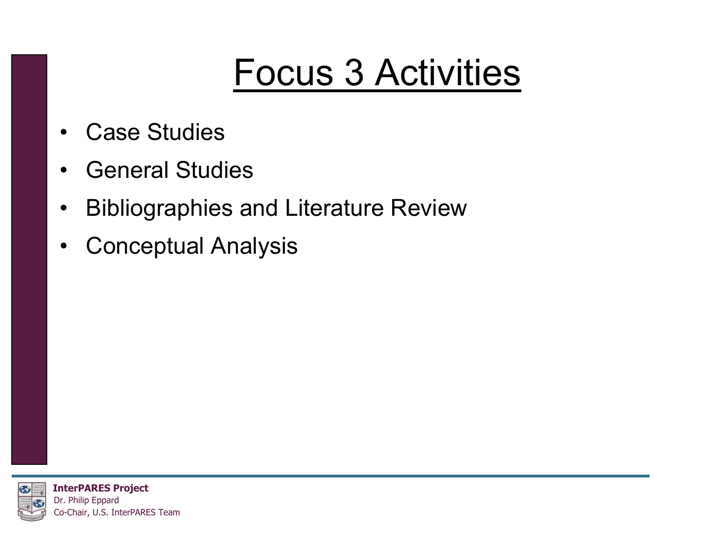#### Focus 3 Activities

- •Case Studies
- •General Studies
- $\bullet$ Bibliographies and Literature Review
- $\bullet$ Conceptual Analysis

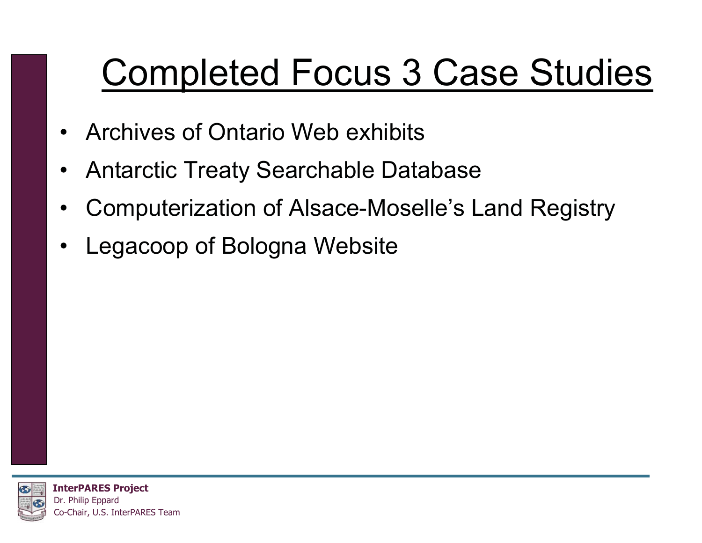#### Completed Focus 3 Case Studies

- Archives of Ontario Web exhibits
- •Antarctic Treaty Searchable Database
- •Computerization of Alsace-Moselle's Land Registry
- •Legacoop of Bologna Website

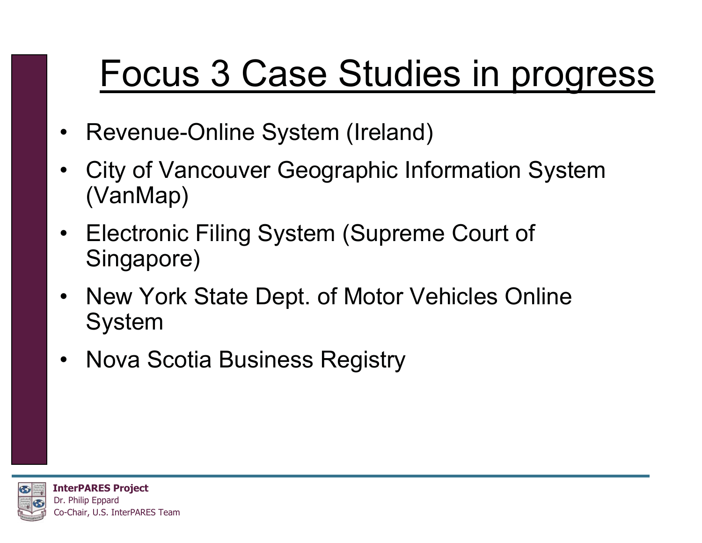#### Focus 3 Case Studies in progress

- Revenue-Online System (Ireland)
- • City of Vancouver Geographic Information System (VanMap)
- Electronic Filing System (Supreme Court of Singapore)
- New York State Dept. of Motor Vehicles Online System
- Nova Scotia Business Registry

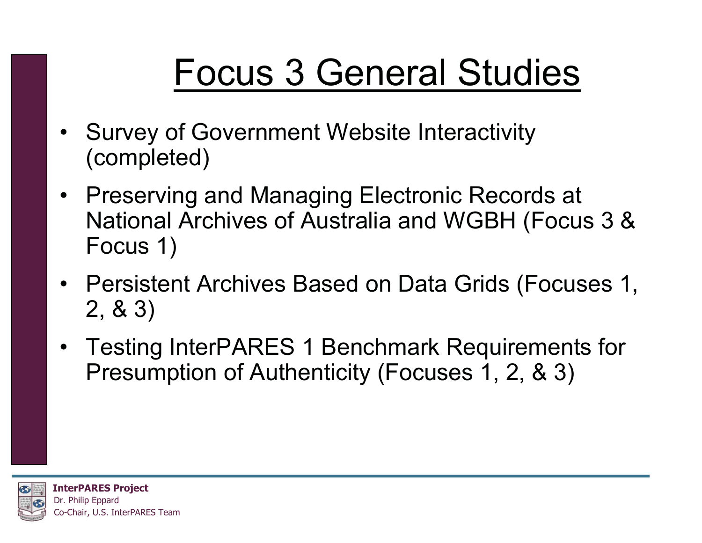### Focus 3 General Studies

- Survey of Government Website Interactivity (completed)
- Preserving and Managing Electronic Records at National Archives of Australia and WGBH (Focus 3 & Focus 1)
- Persistent Archives Based on Data Grids (Focuses 1, 2, & 3)
- Testing InterPARES 1 Benchmark Requirements for Presumption of Authenticity (Focuses 1, 2, & 3)

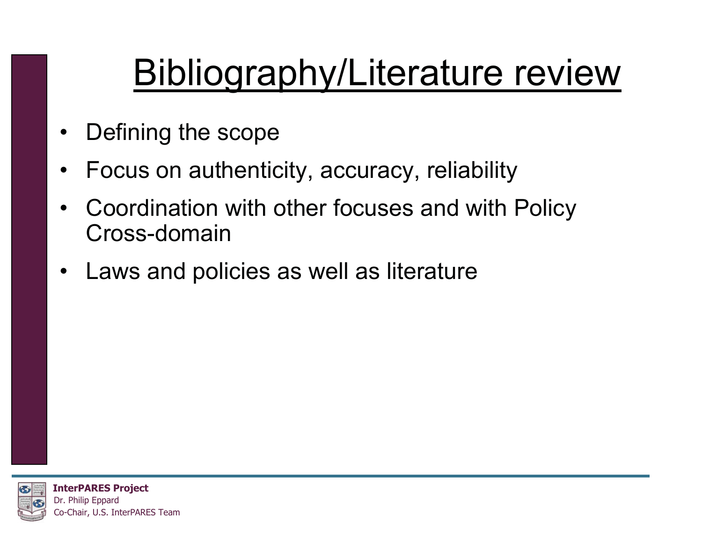### Bibliography/Literature review

- •Defining the scope
- •Focus on authenticity, accuracy, reliability
- $\bullet$  Coordination with other focuses and with Policy Cross-domain
- Laws and policies as well as literature

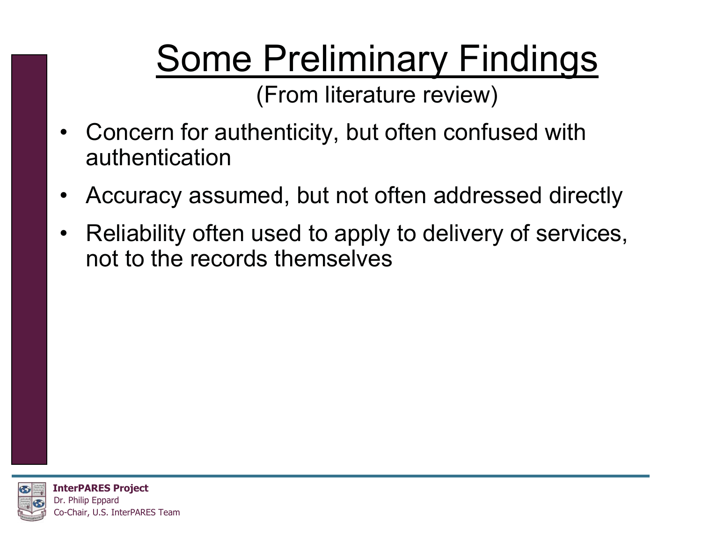## Some Preliminary Findings

(From literature review)

- Concern for authenticity, but often confused with authentication
- •Accuracy assumed, but not often addressed directly
- Reliability often used to apply to delivery of services, not to the records themselves



**InterPARES Project** Dr. Philip Eppard o-Chair, U.S. InterPARES Team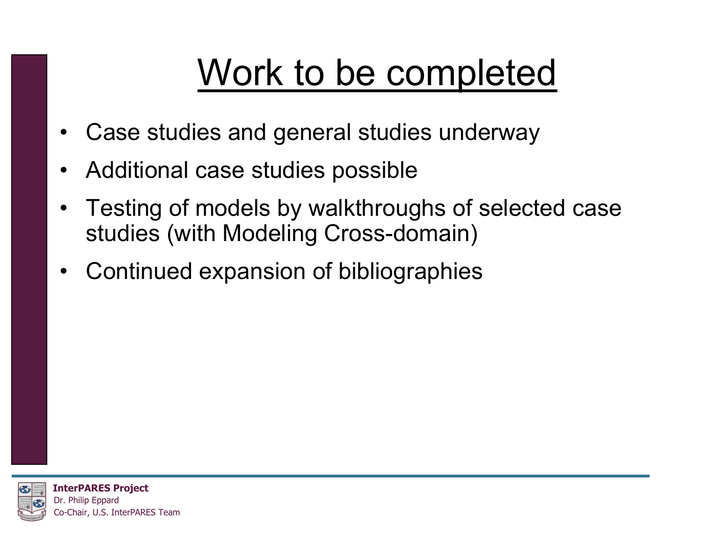#### Work to be completed

- Case studies and general studies underway
- Additional case studies possible
- $\bullet$  Testing of models by walkthroughs of selected case studies (with Modeling Cross-domain)
- Continued expansion of bibliographies